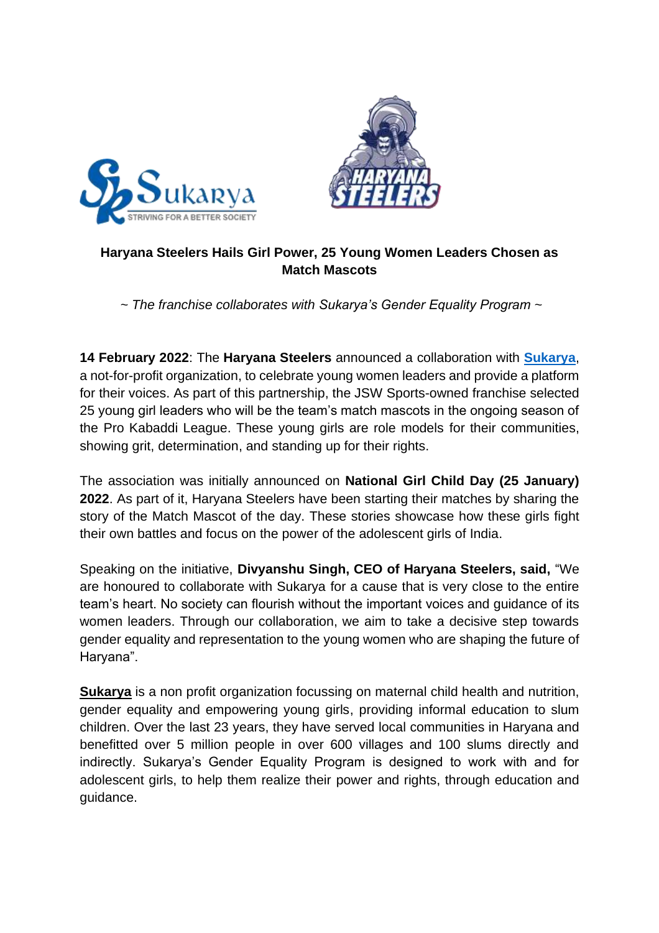



## **Haryana Steelers Hails Girl Power, 25 Young Women Leaders Chosen as Match Mascots**

*~ The franchise collaborates with Sukarya's Gender Equality Program ~*

**14 February 2022**: The **Haryana Steelers** announced a collaboration with **[Sukarya](https://sukarya.org/)**, a not-for-profit organization, to celebrate young women leaders and provide a platform for their voices. As part of this partnership, the JSW Sports-owned franchise selected 25 young girl leaders who will be the team's match mascots in the ongoing season of the Pro Kabaddi League. These young girls are role models for their communities, showing grit, determination, and standing up for their rights.

The association was initially announced on **National Girl Child Day (25 January) 2022**. As part of it, Haryana Steelers have been starting their matches by sharing the story of the Match Mascot of the day. These stories showcase how these girls fight their own battles and focus on the power of the adolescent girls of India.

Speaking on the initiative, **Divyanshu Singh, CEO of Haryana Steelers, said,** "We are honoured to collaborate with Sukarya for a cause that is very close to the entire team's heart. No society can flourish without the important voices and guidance of its women leaders. Through our collaboration, we aim to take a decisive step towards gender equality and representation to the young women who are shaping the future of Haryana".

**Sukarya** is a non profit organization focussing on maternal child health and nutrition, gender equality and empowering young girls, providing informal education to slum children. Over the last 23 years, they have served local communities in Haryana and benefitted over 5 million people in over 600 villages and 100 slums directly and indirectly. Sukarya's Gender Equality Program is designed to work with and for adolescent girls, to help them realize their power and rights, through education and guidance.